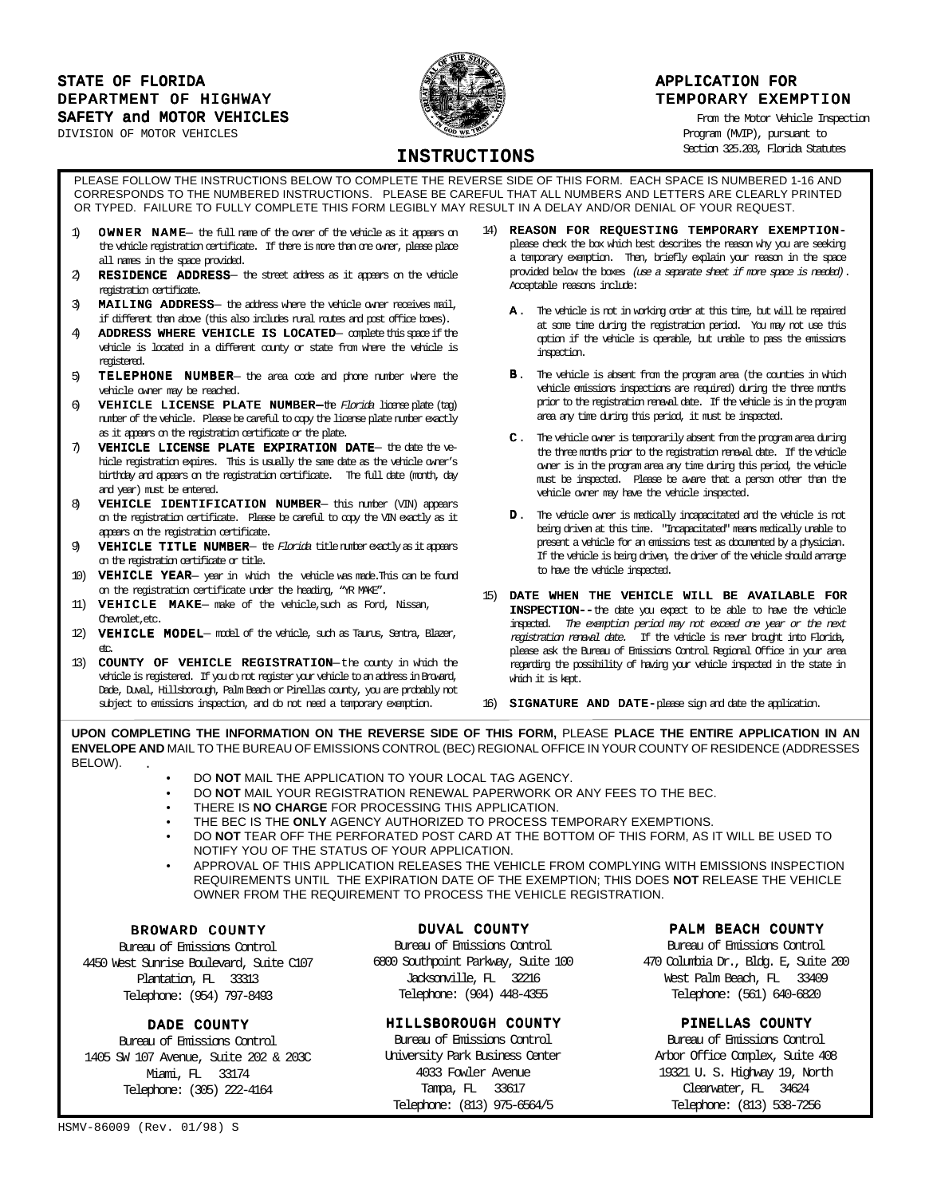## STATE OF FLORIDA APPLICATION FOR APPLICATION FOR DEPARTMENT OF HIGHWAY **TEMPORARY EXEMPTION** SAFETY and MOTOR VEHICLES **Example 2018** From the Motor Vehicle Inspection

DIVISION OF MOTOR VEHICLES Program (MVIP), pursuant to



Section 325.203, Florida Statutes

# INSTRUCTIONS

PLEASE FOLLOW THE INSTRUCTIONS BELOW TO COMPLETE THE REVERSE SIDE OF THIS FORM. EACH SPACE IS NUMBERED 1-16 AND CORRESPONDS TO THE NUMBERED INSTRUCTIONS. PLEASE BE CAREFUL THAT ALL NUMBERS AND LETTERS ARE CLEARLY PRINTED OR TYPED. FAILURE TO FULLY COMPLETE THIS FORM LEGIBLY MAY RESULT IN A DELAY AND/OR DENIAL OF YOUR REQUEST.

- 1) OWNER NAME- the full name of the owner of the vehicle as it appears on the vehicle registration certificate. If there is more than one owner, please place all names in the space provided.
- RESIDENCE ADDRESS- the street address as it appears on the vehicle registration certificate.
- $3$  **MAILING ADDRESS** the address where the vehicle owner receives mail, if different than above (this also includes rural routes and post office boxes).
- 4) ADDRESS WHERE VEHICLE IS LOCATED-complete this space if the vehicle is located in a different county or state from where the vehicle is registered.
- 5) TELEPHONE NUMBER- the area code and phone number where the vehicle owner may be reached.
- 6) **VEHICLE LICENSE PLATE NUMBER**—the Florida license plate (tag) number of the vehicle. Please be careful to copy the license plate number exactly as it appears on the registration certificate or the plate.
- $7$  VEHICLE LICENSE PLATE EXPIRATION DATE- the date the vehicle registration expires. This is usually the same date as the vehicle owner's birthday and appears on the registration certificate. The full date (month, day and year) must be entered.
- 8) VEHICLE IDENTIFICATION NUMBER-this number (VIN) appears on the registration certificate. Please be careful to copy the VIN exactly as it appears on the registration certificate.
- 9) **VEHICLE TITLE NUMBER** the Florida title number exactly as it appears on the registration certificate or title.
- 10) VEHICLE YEAR-year in which the vehicle was made. This can be found on the registration certificate under the heading, "YR MAKE".
- 11)  $\textbf{VEHICLE}$  MAKE make of the vehicle, such as Ford, Nissan, Chevrolet,etc.
- 12) VEHICLE MODEL-model of the vehicle, such as Taurus, Sentra, Blazer,  $rac{d}{dt}$
- 13) COUNTY OF VEHICLE REGISTRATION-the county in which the vehicle is registered. If you do not register your vehicle to an address in Broward, Dade, Duval, Hillsborough, Palm Beach or Pinellas county, you are probably not subject to emissions inspection, and do not need a temporary exemption.
- 14) REASON FOR REQUESTING TEMPORARY EXEMPTIONplease check the box which best describes the reason why you are seeking a temporary exemption. Then, briefly explain your reason in the space provided below the boxes (use a separate sheet if more space is needed). Acceptable reasons include:
	- A. The vehicle is not in working order at this time, but will be repaired at some time during the registration period. You may not use this option if the vehicle is operable, but unable to pass the emissions inspection.
	- **B**. The vehicle is absent from the program area (the counties in which vehicle emissions inspections are required) during the three months prior to the registration renewal date. If the vehicle is in the program area any time during this period, it must be inspected.
	- C . The vehicle owner is temporarily absent from the program area during the three months prior to the registration renewal date. If the vehicle owner is in the program area any time during this period, the vehicle must be inspected. Please be aware that a person other than the vehicle owner may have the vehicle inspected.
	- D . The vehicle owner is medically incapacitated and the vehicle is not being driven at this time. "Incapacitated" means medically unable to present a vehicle for an emissions test as documented by a physician. If the vehicle is being driven, the driver of the vehicle should arrange to have the vehicle inspected.
- 15) DATE WHEN THE VEHICLE WILL BE AVAILABLE FOR INSPECTION--the date you expect to be able to have the vehicle inspected. The exemption period may not exceed one year or the next registration renewal date. If the vehicle is never brought into Florida, please ask the Bureau of Emissions Control Regional Office in your area regarding the possibility of having your vehicle inspected in the state in which it is kept.

16) SIGNATURE AND DATE-please sign and date the application.

**UPON COMPLETING THE INFORMATION ON THE REVERSE SIDE OF THIS FORM,** PLEASE **PLACE THE ENTIRE APPLICATION IN AN ENVELOPE AND** MAIL TO THE BUREAU OF EMISSIONS CONTROL (BEC) REGIONAL OFFICE IN YOUR COUNTY OF RESIDENCE (ADDRESSES BELOW).

- DO **NOT** MAIL THE APPLICATION TO YOUR LOCAL TAG AGENCY.
- DO **NOT** MAIL YOUR REGISTRATION RENEWAL PAPERWORK OR ANY FEES TO THE BEC.
- THERE IS **NO CHARGE** FOR PROCESSING THIS APPLICATION.
- THE BEC IS THE **ONLY** AGENCY AUTHORIZED TO PROCESS TEMPORARY EXEMPTIONS.
- DO **NOT** TEAR OFF THE PERFORATED POST CARD AT THE BOTTOM OF THIS FORM, AS IT WILL BE USED TO NOTIFY YOU OF THE STATUS OF YOUR APPLICATION.
- APPROVAL OF THIS APPLICATION RELEASES THE VEHICLE FROM COMPLYING WITH EMISSIONS INSPECTION REQUIREMENTS UNTIL THE EXPIRATION DATE OF THE EXEMPTION; THIS DOES **NOT** RELEASE THE VEHICLE OWNER FROM THE REQUIREMENT TO PROCESS THE VEHICLE REGISTRATION.

#### BROWARD COUNTY

Bureau of Emissions Control 4450 West Sunrise Boulevard, Suite C107 Plantation, FL 33313 Telephone: (954) 797-8493

#### DADE COUNTY

Bureau of Emissions Control 1405 SW 107 Avenue, Suite 202 & 203C Miami, FL 33174 Telephone: (305) 222-4164

### DUVAL COUNTY

Bureau of Emissions Control 6800 Southpoint Parkway, Suite 100 Jacksonville, FL 32216 Telephone: (904) 448-4355

## HILLSBOROUGH COUNTY

Bureau of Emissions Control University Park Business Center 4033 Fowler Avenue Tampa, FL 33617 Telephone: (813) 975-6564/5

#### PALM BEACH COUNTY

Bureau of Emissions Control 470 Columbia Dr., Bldg. E, Suite 200 West Palm Beach, FL 33409 Telephone: (561) 640-6820

## PINELLAS COUNTY

Bureau of Emissions Control Arbor Office Complex, Suite 408 19321 U. S. Highway 19, North Clearwater, FL 34624 Telephone: (813) 538-7256